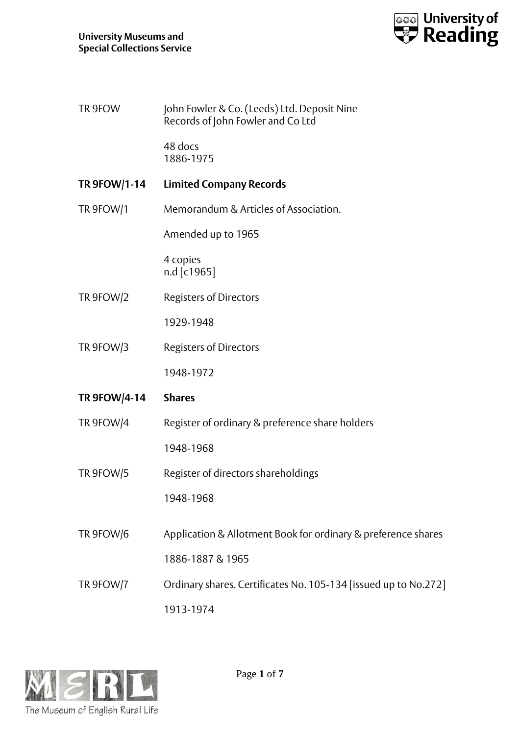

| TR 9FOW | John Fowler & Co. (Leeds) Ltd. Deposit Nine |
|---------|---------------------------------------------|
|         | Records of John Fowler and Co Ltd           |

48 docs 1886-1975

- **TR 9FOW/1-14 Limited Company Records**
- TR 9FOW/1 Memorandum & Articles of Association.

Amended up to 1965

4 copies n.d [c1965]

TR 9FOW/2 Registers of Directors

1929-1948

TR 9FOW/3 Registers of Directors

1948-1972

## **TR 9FOW/4-14 Shares**

TR 9FOW/4 Register of ordinary & preference share holders

1948-1968

- TR 9FOW/5 Register of directors shareholdings 1948-1968
- TR 9FOW/6 Application & Allotment Book for ordinary & preference shares 1886-1887 & 1965
- TR 9FOW/7 Ordinary shares. Certificates No. 105-134 [issued up to No.272] 1913-1974

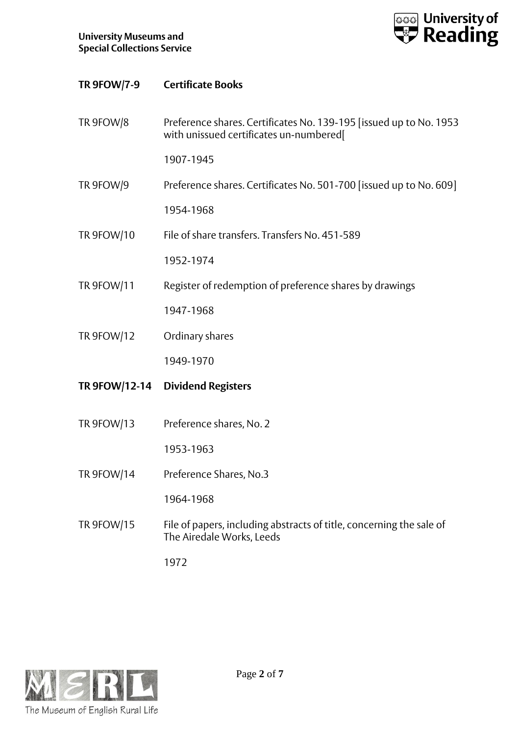

| <b>TR 9FOW/7-9</b> | <b>Certificate Books</b>                                                                                       |
|--------------------|----------------------------------------------------------------------------------------------------------------|
| TR 9FOW/8          | Preference shares. Certificates No. 139-195 [issued up to No. 1953]<br>with unissued certificates un-numbered[ |
|                    | 1907-1945                                                                                                      |
| TR 9FOW/9          | Preference shares. Certificates No. 501-700 [issued up to No. 609]                                             |
|                    | 1954-1968                                                                                                      |
| <b>TR 9FOW/10</b>  | File of share transfers. Transfers No. 451-589                                                                 |
|                    | 1952-1974                                                                                                      |
| <b>TR 9FOW/11</b>  | Register of redemption of preference shares by drawings                                                        |
|                    | 1947-1968                                                                                                      |
| <b>TR 9FOW/12</b>  | Ordinary shares                                                                                                |
|                    | 1949-1970                                                                                                      |
|                    | TR 9FOW/12-14 Dividend Registers                                                                               |
| TR 9FOW/13         | Preference shares, No. 2                                                                                       |
|                    | 1953-1963                                                                                                      |
| <b>TR 9FOW/14</b>  | Preference Shares, No.3                                                                                        |
|                    | 1964-1968                                                                                                      |
| <b>TR 9FOW/15</b>  | File of papers, including abstracts of title, concerning the sale of<br>The Airedale Works, Leeds              |

1972

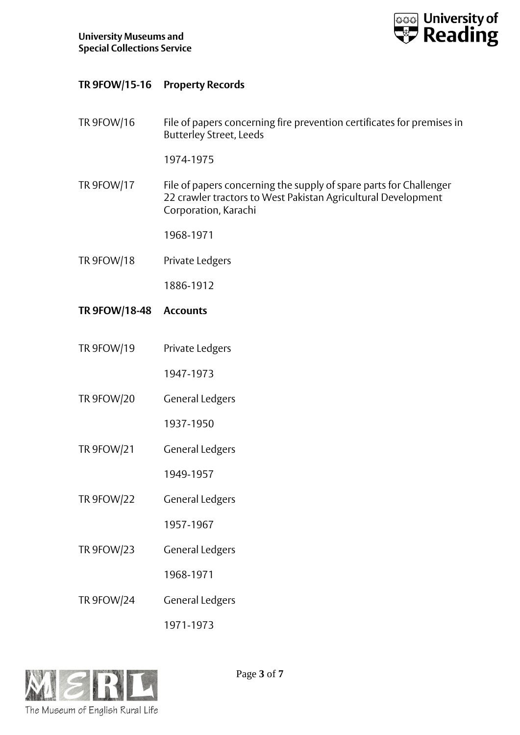

## **TR 9FOW/15-16 Property Records**

TR 9FOW/16 File of papers concerning fire prevention certificates for premises in Butterley Street, Leeds

1974-1975

TR 9FOW/17 File of papers concerning the supply of spare parts for Challenger 22 crawler tractors to West Pakistan Agricultural Development Corporation, Karachi

1968-1971

TR 9FOW/18 Private Ledgers

1886-1912

- **TR 9FOW/18-48 Accounts**
- TR 9FOW/19 Private Ledgers

1947-1973

TR 9FOW/20 General Ledgers

1937-1950

TR 9FOW/21 General Ledgers

1949-1957

TR 9FOW/22 General Ledgers

1957-1967

TR 9FOW/23 General Ledgers

1968-1971

TR 9FOW/24 General Ledgers

1971-1973

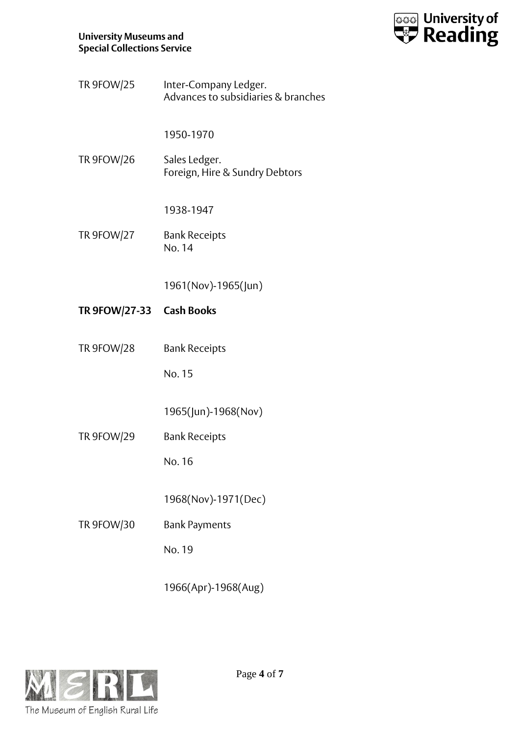

TR 9FOW/25 Inter-Company Ledger. Advances to subsidiaries & branches

1950-1970

TR 9FOW/26 Sales Ledger. Foreign, Hire & Sundry Debtors

1938-1947

TR 9FOW/27 Bank Receipts No. 14

1961(Nov)-1965(Jun)

- **TR 9FOW/27-33 Cash Books**
- TR 9FOW/28 Bank Receipts

No. 15

1965(Jun)-1968(Nov)

TR 9FOW/29 Bank Receipts

No. 16

1968(Nov)-1971(Dec)

TR 9FOW/30 Bank Payments

No. 19

1966(Apr)-1968(Aug)

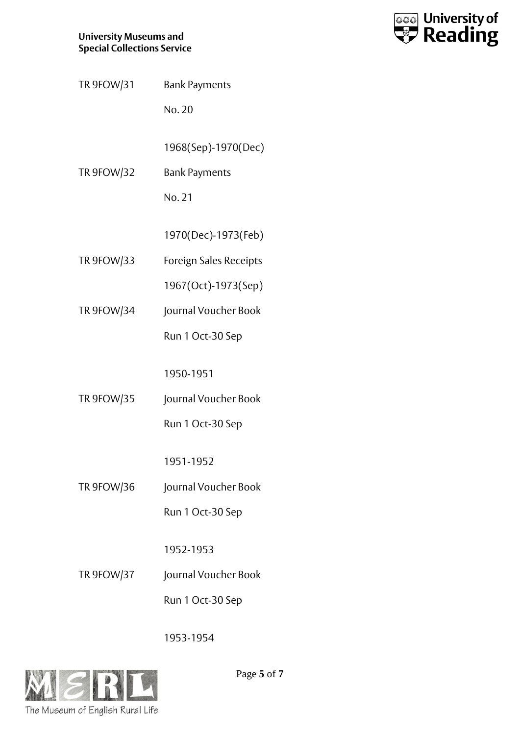## **University Museums and Special Collections Service**



TR 9FOW/31 Bank Payments

No. 20

1968(Sep)-1970(Dec)

TR 9FOW/32 Bank Payments

No. 21

1970(Dec)-1973(Feb)

TR 9FOW/33 Foreign Sales Receipts

1967(Oct)-1973(Sep)

TR 9FOW/34 Journal Voucher Book

Run 1 Oct-30 Sep

1950-1951

TR 9FOW/35 Journal Voucher Book

Run 1 Oct-30 Sep

1951-1952

TR 9FOW/36 Journal Voucher Book

Run 1 Oct-30 Sep

1952-1953

TR 9FOW/37 Journal Voucher Book

Run 1 Oct-30 Sep

1953-1954



Page **5** of **7**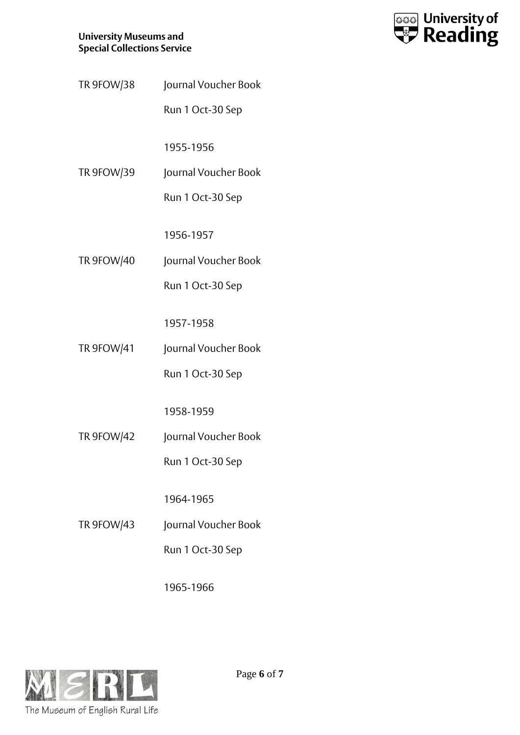## **University Museums and Special Collections Service**



TR 9FOW/38 Journal Voucher Book

Run 1 Oct-30 Sep

1955-1956

TR 9FOW/39 Journal Voucher Book

Run 1 Oct-30 Sep

1956-1957

TR 9FOW/40 Journal Voucher Book

Run 1 Oct-30 Sep

1957-1958

TR 9FOW/41 Journal Voucher Book

Run 1 Oct-30 Sep

1958-1959

TR 9FOW/42 Journal Voucher Book

Run 1 Oct-30 Sep

1964-1965

TR 9FOW/43 Journal Voucher Book

Run 1 Oct-30 Sep

1965-1966